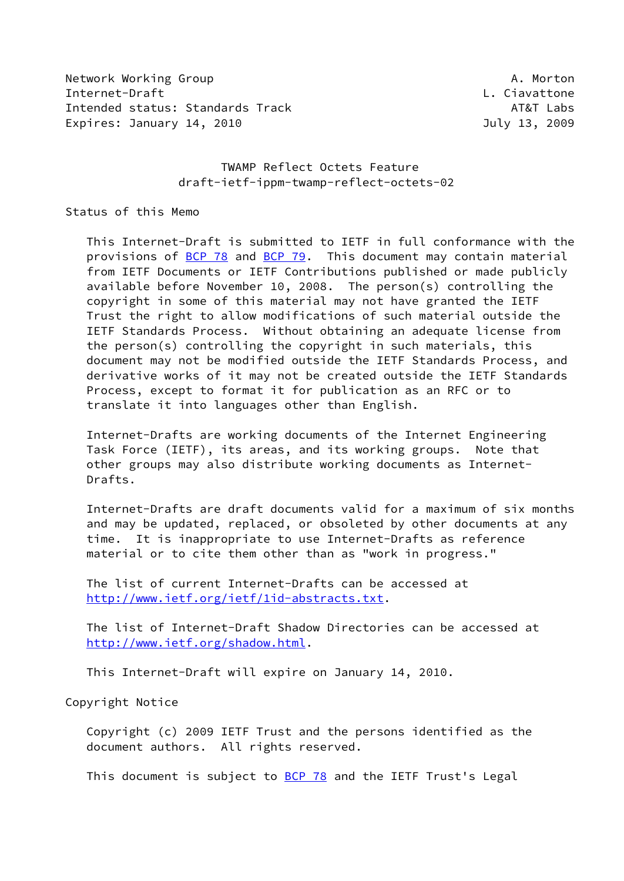Network Working Group **A. Morton** A. Morton Internet-Draft L. Ciavattone Intended status: Standards Track AT&T Labs Expires: January 14, 2010 **Internal Contract Contract Contract Contract Contract Contract Contract Contract Contract Contract Contract Contract Contract Contract Contract Contract Contract Contract Contract Contract Contra** 

# TWAMP Reflect Octets Feature draft-ietf-ippm-twamp-reflect-octets-02

Status of this Memo

 This Internet-Draft is submitted to IETF in full conformance with the provisions of [BCP 78](https://datatracker.ietf.org/doc/pdf/bcp78) and [BCP 79](https://datatracker.ietf.org/doc/pdf/bcp79). This document may contain material from IETF Documents or IETF Contributions published or made publicly available before November 10, 2008. The person(s) controlling the copyright in some of this material may not have granted the IETF Trust the right to allow modifications of such material outside the IETF Standards Process. Without obtaining an adequate license from the person(s) controlling the copyright in such materials, this document may not be modified outside the IETF Standards Process, and derivative works of it may not be created outside the IETF Standards Process, except to format it for publication as an RFC or to translate it into languages other than English.

 Internet-Drafts are working documents of the Internet Engineering Task Force (IETF), its areas, and its working groups. Note that other groups may also distribute working documents as Internet- Drafts.

 Internet-Drafts are draft documents valid for a maximum of six months and may be updated, replaced, or obsoleted by other documents at any time. It is inappropriate to use Internet-Drafts as reference material or to cite them other than as "work in progress."

 The list of current Internet-Drafts can be accessed at <http://www.ietf.org/ietf/1id-abstracts.txt>.

 The list of Internet-Draft Shadow Directories can be accessed at <http://www.ietf.org/shadow.html>.

This Internet-Draft will expire on January 14, 2010.

Copyright Notice

 Copyright (c) 2009 IETF Trust and the persons identified as the document authors. All rights reserved.

This document is subject to **[BCP 78](https://datatracker.ietf.org/doc/pdf/bcp78)** and the IETF Trust's Legal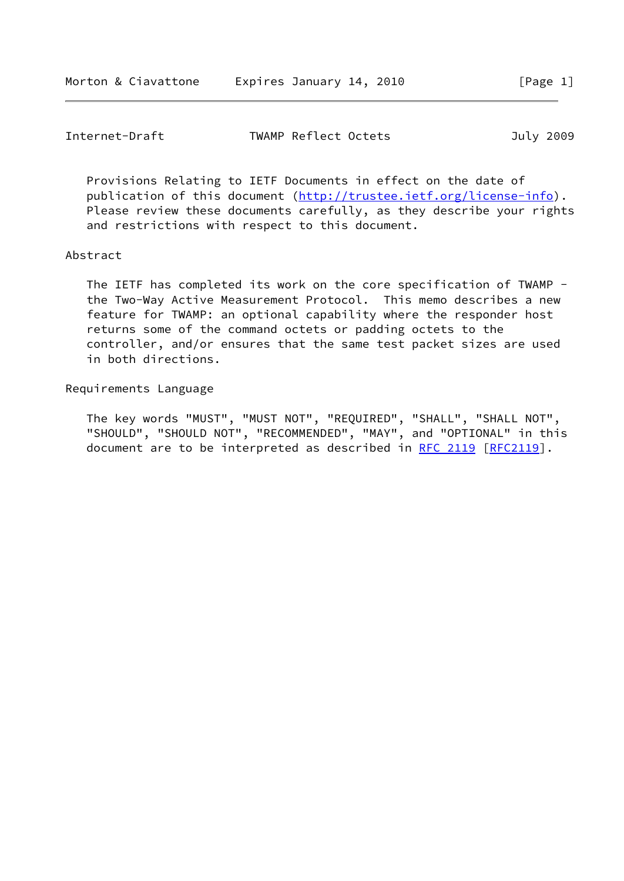| Internet-Draft | TWAMP Reflect Octets | July 2009 |
|----------------|----------------------|-----------|
|----------------|----------------------|-----------|

 Provisions Relating to IETF Documents in effect on the date of publication of this document [\(http://trustee.ietf.org/license-info](http://trustee.ietf.org/license-info)). Please review these documents carefully, as they describe your rights and restrictions with respect to this document.

#### Abstract

 The IETF has completed its work on the core specification of TWAMP the Two-Way Active Measurement Protocol. This memo describes a new feature for TWAMP: an optional capability where the responder host returns some of the command octets or padding octets to the controller, and/or ensures that the same test packet sizes are used in both directions.

#### Requirements Language

 The key words "MUST", "MUST NOT", "REQUIRED", "SHALL", "SHALL NOT", "SHOULD", "SHOULD NOT", "RECOMMENDED", "MAY", and "OPTIONAL" in this document are to be interpreted as described in [RFC 2119 \[RFC2119](https://datatracker.ietf.org/doc/pdf/rfc2119)].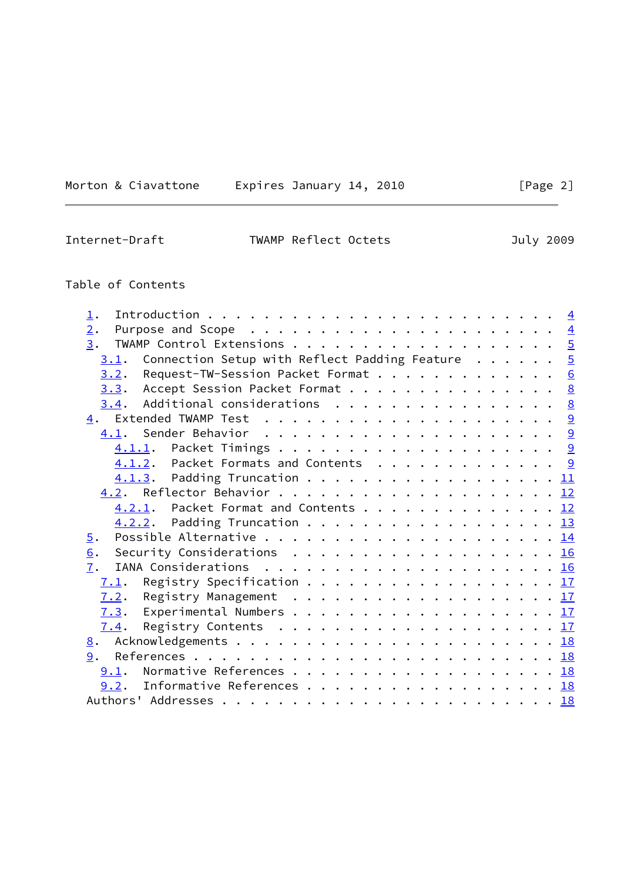|  | Morton & Ciavattone | Expi |
|--|---------------------|------|
|--|---------------------|------|

 $x$ pires January 14, 2010  $\qquad \qquad \qquad$  [Page 2]

| Internet-Draft | TWAMP Reflect Octets | July 2009 |
|----------------|----------------------|-----------|

# Table of Contents

| 1.                                                        |   |
|-----------------------------------------------------------|---|
| 2.                                                        |   |
| 3.                                                        |   |
| Connection Setup with Reflect Padding Feature $5$<br>3.1. |   |
| Request-TW-Session Packet Format<br>3.2.                  | 6 |
| 3.3. Accept Session Packet Format 8                       |   |
| $3.4$ . Additional considerations 8                       |   |
|                                                           |   |
|                                                           |   |
|                                                           |   |
| 4.1.2. Packet Formats and Contents 9                      |   |
| $\underline{4.1.3}$ . Padding Truncation 11               |   |
|                                                           |   |
| 4.2.1. Packet Format and Contents 12                      |   |
| 4.2.2. Padding Truncation 13                              |   |
| $\overline{5}$ .                                          |   |
| Security Considerations 16<br>6.                          |   |
| 7.                                                        |   |
| Registry Specification 17<br>7.1.                         |   |
| 7.2.                                                      |   |
|                                                           |   |
| 7.4.                                                      |   |
| 8.                                                        |   |
| 9.                                                        |   |
|                                                           |   |
| 9.1.                                                      |   |
| Informative References 18<br>9.2.                         |   |
|                                                           |   |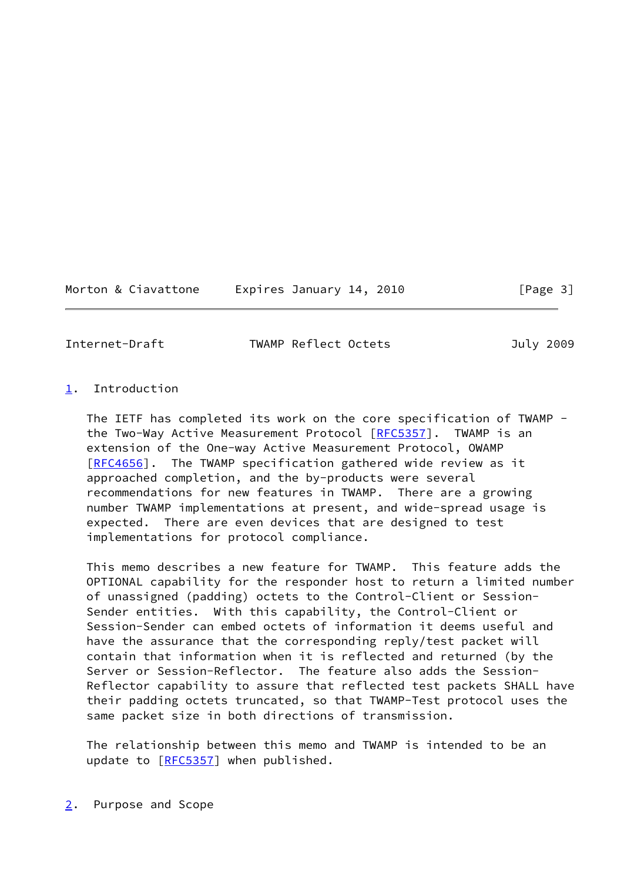Morton & Ciavattone Expires January 14, 2010 [Page 3]

<span id="page-3-1"></span>

Internet-Draft TWAMP Reflect Octets July 2009

# <span id="page-3-0"></span>[1](#page-3-0). Introduction

 The IETF has completed its work on the core specification of TWAMP - the Two-Way Active Measurement Protocol [\[RFC5357](https://datatracker.ietf.org/doc/pdf/rfc5357)]. TWAMP is an extension of the One-way Active Measurement Protocol, OWAMP [\[RFC4656](https://datatracker.ietf.org/doc/pdf/rfc4656)]. The TWAMP specification gathered wide review as it approached completion, and the by-products were several recommendations for new features in TWAMP. There are a growing number TWAMP implementations at present, and wide-spread usage is expected. There are even devices that are designed to test implementations for protocol compliance.

 This memo describes a new feature for TWAMP. This feature adds the OPTIONAL capability for the responder host to return a limited number of unassigned (padding) octets to the Control-Client or Session- Sender entities. With this capability, the Control-Client or Session-Sender can embed octets of information it deems useful and have the assurance that the corresponding reply/test packet will contain that information when it is reflected and returned (by the Server or Session-Reflector. The feature also adds the Session- Reflector capability to assure that reflected test packets SHALL have their padding octets truncated, so that TWAMP-Test protocol uses the same packet size in both directions of transmission.

<span id="page-3-2"></span> The relationship between this memo and TWAMP is intended to be an update to [[RFC5357](https://datatracker.ietf.org/doc/pdf/rfc5357)] when published.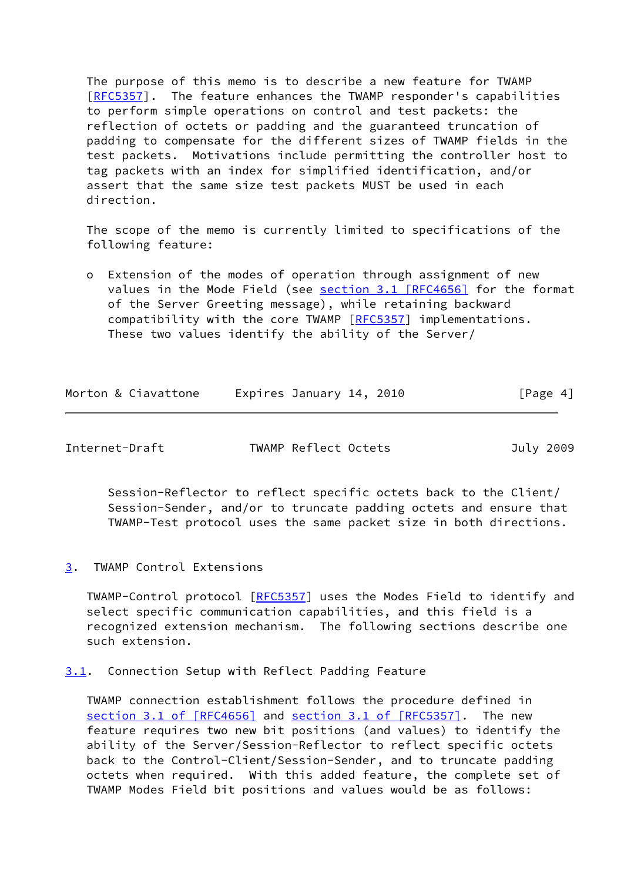The purpose of this memo is to describe a new feature for TWAMP [\[RFC5357](https://datatracker.ietf.org/doc/pdf/rfc5357)]. The feature enhances the TWAMP responder's capabilities to perform simple operations on control and test packets: the reflection of octets or padding and the guaranteed truncation of padding to compensate for the different sizes of TWAMP fields in the test packets. Motivations include permitting the controller host to tag packets with an index for simplified identification, and/or assert that the same size test packets MUST be used in each direction.

 The scope of the memo is currently limited to specifications of the following feature:

 o Extension of the modes of operation through assignment of new values in the Mode Field (see section [3.1 \[RFC4656\]](https://datatracker.ietf.org/doc/pdf/rfc4656#section-3.1) for the format of the Server Greeting message), while retaining backward compatibility with the core TWAMP [\[RFC5357](https://datatracker.ietf.org/doc/pdf/rfc5357)] implementations. These two values identify the ability of the Server/

| Morton & Ciavattone | Expires January 14, 2010 | [Page 4] |
|---------------------|--------------------------|----------|
|---------------------|--------------------------|----------|

<span id="page-4-1"></span>Internet-Draft TWAMP Reflect Octets July 2009

 Session-Reflector to reflect specific octets back to the Client/ Session-Sender, and/or to truncate padding octets and ensure that TWAMP-Test protocol uses the same packet size in both directions.

<span id="page-4-0"></span>[3](#page-4-0). TWAMP Control Extensions

 TWAMP-Control protocol [\[RFC5357](https://datatracker.ietf.org/doc/pdf/rfc5357)] uses the Modes Field to identify and select specific communication capabilities, and this field is a recognized extension mechanism. The following sections describe one such extension.

<span id="page-4-2"></span>[3.1](#page-4-2). Connection Setup with Reflect Padding Feature

 TWAMP connection establishment follows the procedure defined in section [3.1 of \[RFC4656\]](https://datatracker.ietf.org/doc/pdf/rfc4656#section-3.1) and section [3.1 of \[RFC5357\]](https://datatracker.ietf.org/doc/pdf/rfc5357#section-3.1). The new feature requires two new bit positions (and values) to identify the ability of the Server/Session-Reflector to reflect specific octets back to the Control-Client/Session-Sender, and to truncate padding octets when required. With this added feature, the complete set of TWAMP Modes Field bit positions and values would be as follows: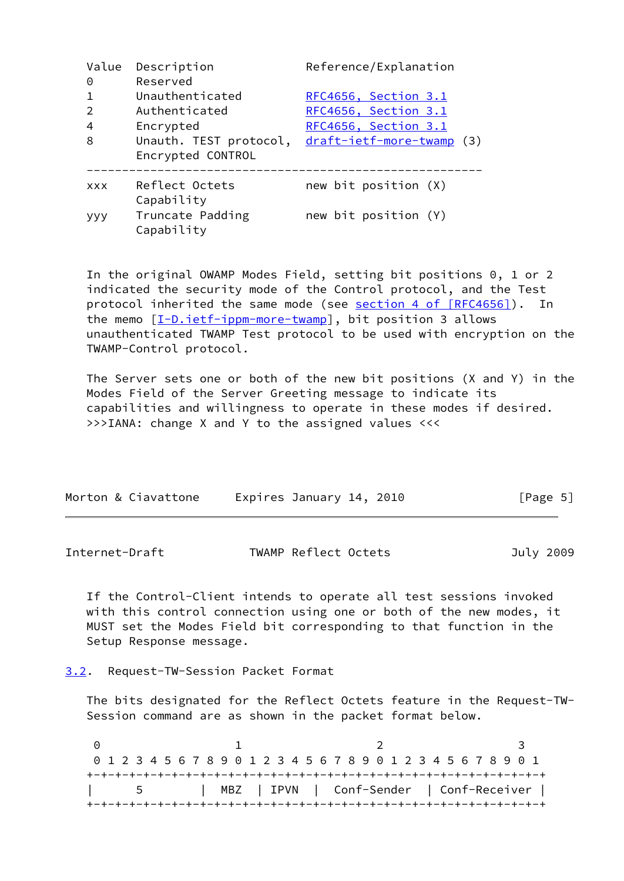| Value<br>0     | Description<br>Reserved        | Reference/Explanation     |
|----------------|--------------------------------|---------------------------|
|                | Unauthenticated                | RFC4656, Section 3.1      |
| $\mathfrak{D}$ | Authenticated                  | RFC4656, Section 3.1      |
| 4              | Encrypted                      | RFC4656, Section 3.1      |
| 8              | Unauth. TEST protocol,         | draft-ietf-more-twamp (3) |
|                | Encrypted CONTROL              |                           |
| <b>XXX</b>     | Reflect Octets<br>Capability   | new bit position (X)      |
| <b>YYY</b>     | Truncate Padding<br>Capability | new bit position (Y)      |

 In the original OWAMP Modes Field, setting bit positions 0, 1 or 2 indicated the security mode of the Control protocol, and the Test protocol inherited the same mode (see section [4 of \[RFC4656\]](https://datatracker.ietf.org/doc/pdf/rfc4656#section-4)). In the memo [\[I-D.ietf-ippm-more-twamp](#page-19-4)], bit position 3 allows unauthenticated TWAMP Test protocol to be used with encryption on the TWAMP-Control protocol.

 The Server sets one or both of the new bit positions (X and Y) in the Modes Field of the Server Greeting message to indicate its capabilities and willingness to operate in these modes if desired. >>>IANA: change X and Y to the assigned values <<<

| Morton & Ciavattone | Expires January 14, 2010 | [Page 5] |
|---------------------|--------------------------|----------|
|                     |                          |          |

<span id="page-5-1"></span>Internet-Draft TWAMP Reflect Octets July 2009

 If the Control-Client intends to operate all test sessions invoked with this control connection using one or both of the new modes, it MUST set the Modes Field bit corresponding to that function in the Setup Response message.

<span id="page-5-0"></span>[3.2](#page-5-0). Request-TW-Session Packet Format

 The bits designated for the Reflect Octets feature in the Request-TW- Session command are as shown in the packet format below.

0 1 2 3 0 1 2 3 4 5 6 7 8 9 0 1 2 3 4 5 6 7 8 9 0 1 2 3 4 5 6 7 8 9 0 1 +-+-+-+-+-+-+-+-+-+-+-+-+-+-+-+-+-+-+-+-+-+-+-+-+-+-+-+-+-+-+-+-+ | MBZ | IPVN | Conf-Sender | Conf-Receiver | +-+-+-+-+-+-+-+-+-+-+-+-+-+-+-+-+-+-+-+-+-+-+-+-+-+-+-+-+-+-+-+-+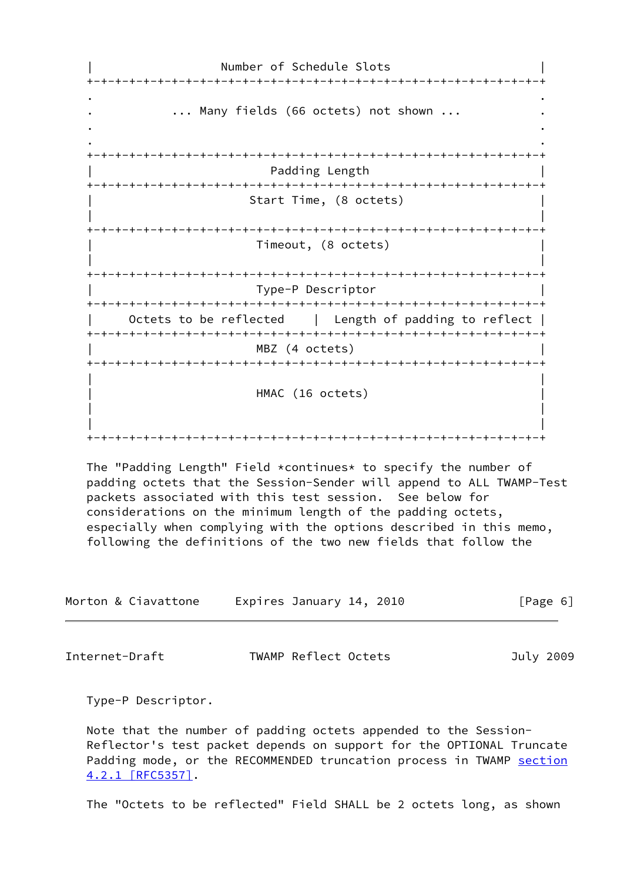Number of Schedule Slots +-+-+-+-+-+-+-+-+-+-+-+-+-+-+-+-+-+-+-+-+-+-+-+-+-+-+-+-+-+-+-+-+ . . ... Many fields (66 octets) not shown ... . . . . +-+-+-+-+-+-+-+-+-+-+-+-+-+-+-+-+-+-+-+-+-+-+-+-+-+-+-+-+-+-+-+-+ Padding Length +-+-+-+-+-+-+-+-+-+-+-+-+-+-+-+-+-+-+-+-+-+-+-+-+-+-+-+-+-+-+-+-+ Start Time, (8 octets) | | +-+-+-+-+-+-+-+-+-+-+-+-+-+-+-+-+-+-+-+-+-+-+-+-+-+-+-+-+-+-+-+-+ | Timeout, (8 octets) | | | +-+-+-+-+-+-+-+-+-+-+-+-+-+-+-+-+-+-+-+-+-+-+-+-+-+-+-+-+-+-+-+-+ | Type-P Descriptor | +-+-+-+-+-+-+-+-+-+-+-+-+-+-+-+-+-+-+-+-+-+-+-+-+-+-+-+-+-+-+-+-+ Octets to be reflected | Length of padding to reflect | +-+-+-+-+-+-+-+-+-+-+-+-+-+-+-+-+-+-+-+-+-+-+-+-+-+-+-+-+-+-+-+-+ MBZ (4 octets) +-+-+-+-+-+-+-+-+-+-+-+-+-+-+-+-+-+-+-+-+-+-+-+-+-+-+-+-+-+-+-+-+ | | HMAC (16 octets) | | | | +-+-+-+-+-+-+-+-+-+-+-+-+-+-+-+-+-+-+-+-+-+-+-+-+-+-+-+-+-+-+-+-+

 The "Padding Length" Field \*continues\* to specify the number of padding octets that the Session-Sender will append to ALL TWAMP-Test packets associated with this test session. See below for considerations on the minimum length of the padding octets, especially when complying with the options described in this memo, following the definitions of the two new fields that follow the

| Morton & Ciavattone | Expires January 14, 2010 | [Page 6] |
|---------------------|--------------------------|----------|
|---------------------|--------------------------|----------|

Internet-Draft TWAMP Reflect Octets July 2009

Type-P Descriptor.

 Note that the number of padding octets appended to the Session- Reflector's test packet depends on support for the OPTIONAL Truncate Padding mode, or the RECOMMENDED truncation process in TWAMP [section](https://datatracker.ietf.org/doc/pdf/rfc5357#section-4.2.1) [4.2.1 \[RFC5357\]](https://datatracker.ietf.org/doc/pdf/rfc5357#section-4.2.1).

The "Octets to be reflected" Field SHALL be 2 octets long, as shown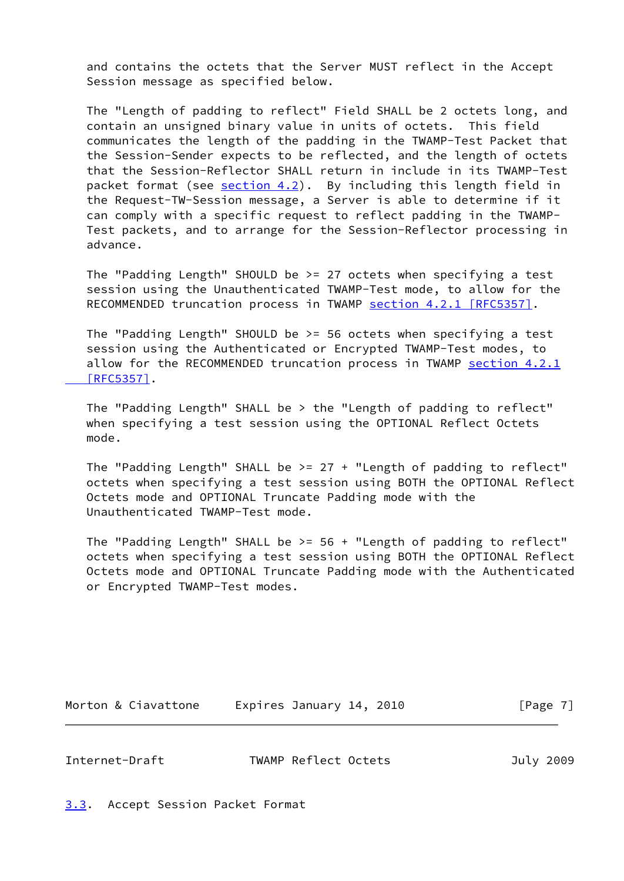and contains the octets that the Server MUST reflect in the Accept Session message as specified below.

 The "Length of padding to reflect" Field SHALL be 2 octets long, and contain an unsigned binary value in units of octets. This field communicates the length of the padding in the TWAMP-Test Packet that the Session-Sender expects to be reflected, and the length of octets that the Session-Reflector SHALL return in include in its TWAMP-Test packet format (see [section 4.2](#page-12-0)). By including this length field in the Request-TW-Session message, a Server is able to determine if it can comply with a specific request to reflect padding in the TWAMP- Test packets, and to arrange for the Session-Reflector processing in advance.

 The "Padding Length" SHOULD be >= 27 octets when specifying a test session using the Unauthenticated TWAMP-Test mode, to allow for the RECOMMENDED truncation process in TWAMP section [4.2.1 \[RFC5357\]](https://datatracker.ietf.org/doc/pdf/rfc5357#section-4.2.1).

 The "Padding Length" SHOULD be >= 56 octets when specifying a test session using the Authenticated or Encrypted TWAMP-Test modes, to allow for the RECOMMENDED truncation process in TWAMP [section](https://datatracker.ietf.org/doc/pdf/rfc5357#section-4.2.1) 4.2.1  [\[RFC5357\]](https://datatracker.ietf.org/doc/pdf/rfc5357#section-4.2.1).

 The "Padding Length" SHALL be > the "Length of padding to reflect" when specifying a test session using the OPTIONAL Reflect Octets mode.

 The "Padding Length" SHALL be >= 27 + "Length of padding to reflect" octets when specifying a test session using BOTH the OPTIONAL Reflect Octets mode and OPTIONAL Truncate Padding mode with the Unauthenticated TWAMP-Test mode.

The "Padding Length" SHALL be  $>= 56 +$  "Length of padding to reflect" octets when specifying a test session using BOTH the OPTIONAL Reflect Octets mode and OPTIONAL Truncate Padding mode with the Authenticated or Encrypted TWAMP-Test modes.

Morton & Ciavattone Expires January 14, 2010 [Page 7]

<span id="page-7-1"></span>Internet-Draft TWAMP Reflect Octets July 2009

<span id="page-7-0"></span>[3.3](#page-7-0). Accept Session Packet Format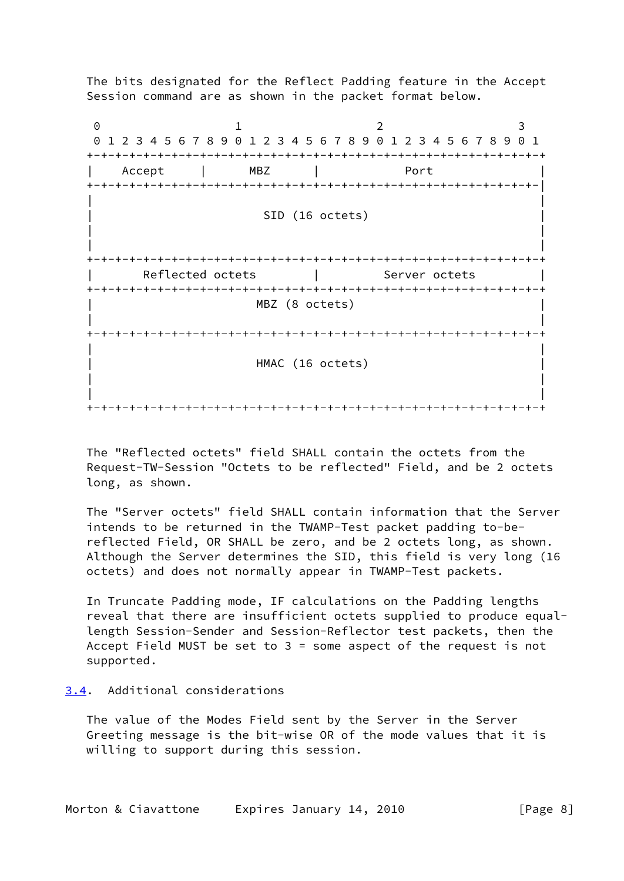The bits designated for the Reflect Padding feature in the Accept Session command are as shown in the packet format below.

0 1 2 3 0 1 2 3 4 5 6 7 8 9 0 1 2 3 4 5 6 7 8 9 0 1 2 3 4 5 6 7 8 9 0 1 +-+-+-+-+-+-+-+-+-+-+-+-+-+-+-+-+-+-+-+-+-+-+-+-+-+-+-+-+-+-+-+-+ | Accept | MBZ | Port | +-+-+-+-+-+-+-+-+-+-+-+-+-+-+-+-+-+-+-+-+-+-+-+-+-+-+-+-+-+-+-+-| | | SID (16 octets) | | | | +-+-+-+-+-+-+-+-+-+-+-+-+-+-+-+-+-+-+-+-+-+-+-+-+-+-+-+-+-+-+-+-+ Reflected octets | Server octets +-+-+-+-+-+-+-+-+-+-+-+-+-+-+-+-+-+-+-+-+-+-+-+-+-+-+-+-+-+-+-+-+ MBZ (8 octets) | | +-+-+-+-+-+-+-+-+-+-+-+-+-+-+-+-+-+-+-+-+-+-+-+-+-+-+-+-+-+-+-+-+ | | HMAC (16 octets) | | | | +-+-+-+-+-+-+-+-+-+-+-+-+-+-+-+-+-+-+-+-+-+-+-+-+-+-+-+-+-+-+-+-+

 The "Reflected octets" field SHALL contain the octets from the Request-TW-Session "Octets to be reflected" Field, and be 2 octets long, as shown.

 The "Server octets" field SHALL contain information that the Server intends to be returned in the TWAMP-Test packet padding to-be reflected Field, OR SHALL be zero, and be 2 octets long, as shown. Although the Server determines the SID, this field is very long (16 octets) and does not normally appear in TWAMP-Test packets.

 In Truncate Padding mode, IF calculations on the Padding lengths reveal that there are insufficient octets supplied to produce equal length Session-Sender and Session-Reflector test packets, then the Accept Field MUST be set to 3 = some aspect of the request is not supported.

# <span id="page-8-0"></span>[3.4](#page-8-0). Additional considerations

 The value of the Modes Field sent by the Server in the Server Greeting message is the bit-wise OR of the mode values that it is willing to support during this session.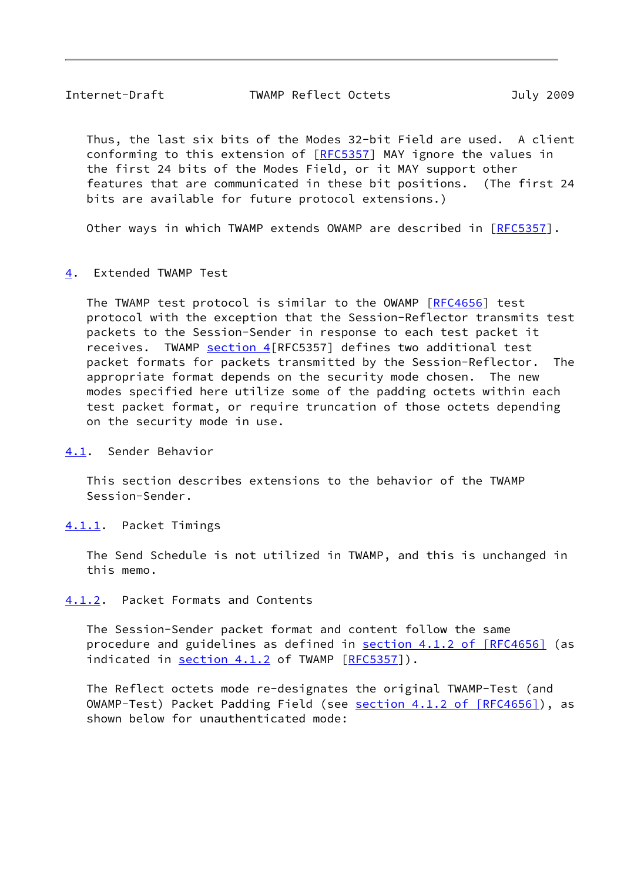<span id="page-9-1"></span> Thus, the last six bits of the Modes 32-bit Field are used. A client conforming to this extension of [\[RFC5357](https://datatracker.ietf.org/doc/pdf/rfc5357)] MAY ignore the values in the first 24 bits of the Modes Field, or it MAY support other features that are communicated in these bit positions. (The first 24 bits are available for future protocol extensions.)

Other ways in which TWAMP extends OWAMP are described in [\[RFC5357](https://datatracker.ietf.org/doc/pdf/rfc5357)].

<span id="page-9-0"></span>[4](#page-9-0). Extended TWAMP Test

 The TWAMP test protocol is similar to the OWAMP [\[RFC4656](https://datatracker.ietf.org/doc/pdf/rfc4656)] test protocol with the exception that the Session-Reflector transmits test packets to the Session-Sender in response to each test packet it receives. TWAMP [section 4](#page-9-0) [RFC5357] defines two additional test packet formats for packets transmitted by the Session-Reflector. The appropriate format depends on the security mode chosen. The new modes specified here utilize some of the padding octets within each test packet format, or require truncation of those octets depending on the security mode in use.

<span id="page-9-2"></span>[4.1](#page-9-2). Sender Behavior

 This section describes extensions to the behavior of the TWAMP Session-Sender.

<span id="page-9-3"></span>[4.1.1](#page-9-3). Packet Timings

 The Send Schedule is not utilized in TWAMP, and this is unchanged in this memo.

<span id="page-9-4"></span>[4.1.2](#page-9-4). Packet Formats and Contents

 The Session-Sender packet format and content follow the same procedure and guidelines as defined in section [4.1.2 of \[RFC4656\]](https://datatracker.ietf.org/doc/pdf/rfc4656#section-4.1.2) (as indicated in [section 4.1.2](#page-9-4) of TWAMP [\[RFC5357](https://datatracker.ietf.org/doc/pdf/rfc5357)]).

 The Reflect octets mode re-designates the original TWAMP-Test (and OWAMP-Test) Packet Padding Field (see section [4.1.2 of \[RFC4656\]\)](https://datatracker.ietf.org/doc/pdf/rfc4656#section-4.1.2), as shown below for unauthenticated mode: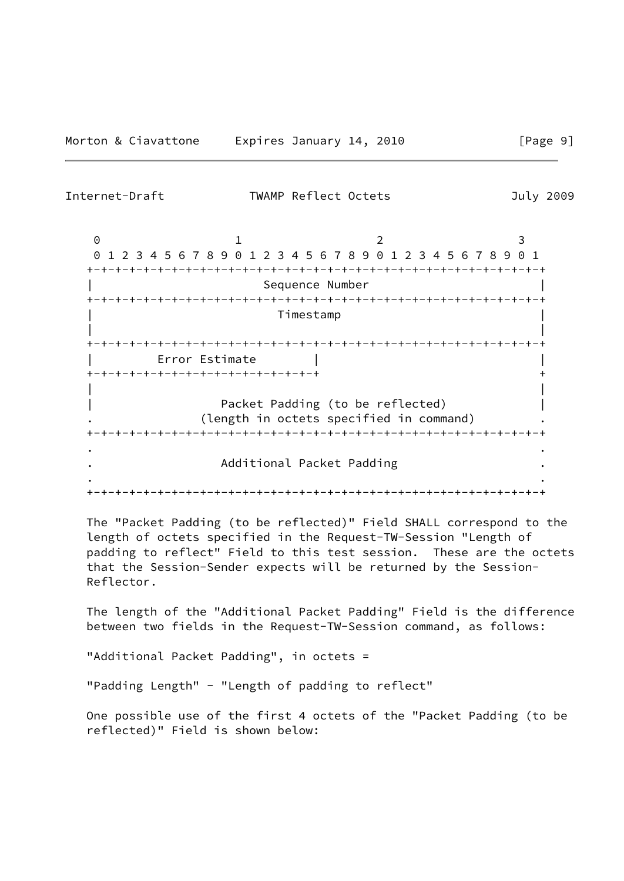Internet-Draft TWAMP Reflect Octets July 2009

0 1 2 3 0 1 2 3 4 5 6 7 8 9 0 1 2 3 4 5 6 7 8 9 0 1 2 3 4 5 6 7 8 9 0 1 +-+-+-+-+-+-+-+-+-+-+-+-+-+-+-+-+-+-+-+-+-+-+-+-+-+-+-+-+-+-+-+-+ Sequence Number +-+-+-+-+-+-+-+-+-+-+-+-+-+-+-+-+-+-+-+-+-+-+-+-+-+-+-+-+-+-+-+-+ | Timestamp | | | +-+-+-+-+-+-+-+-+-+-+-+-+-+-+-+-+-+-+-+-+-+-+-+-+-+-+-+-+-+-+-+-+ | Error Estimate | | +-+-+-+-+-+-+-+-+-+-+-+-+-+-+-+-+ + | | Packet Padding (to be reflected) (length in octets specified in command) +-+-+-+-+-+-+-+-+-+-+-+-+-+-+-+-+-+-+-+-+-+-+-+-+-+-+-+-+-+-+-+-+

 . . . Additional Packet Padding .

+-+-+-+-+-+-+-+-+-+-+-+-+-+-+-+-+-+-+-+-+-+-+-+-+-+-+-+-+-+-+-+-+

. .

 The "Packet Padding (to be reflected)" Field SHALL correspond to the length of octets specified in the Request-TW-Session "Length of padding to reflect" Field to this test session. These are the octets that the Session-Sender expects will be returned by the Session- Reflector.

 The length of the "Additional Packet Padding" Field is the difference between two fields in the Request-TW-Session command, as follows:

"Additional Packet Padding", in octets =

"Padding Length" - "Length of padding to reflect"

 One possible use of the first 4 octets of the "Packet Padding (to be reflected)" Field is shown below: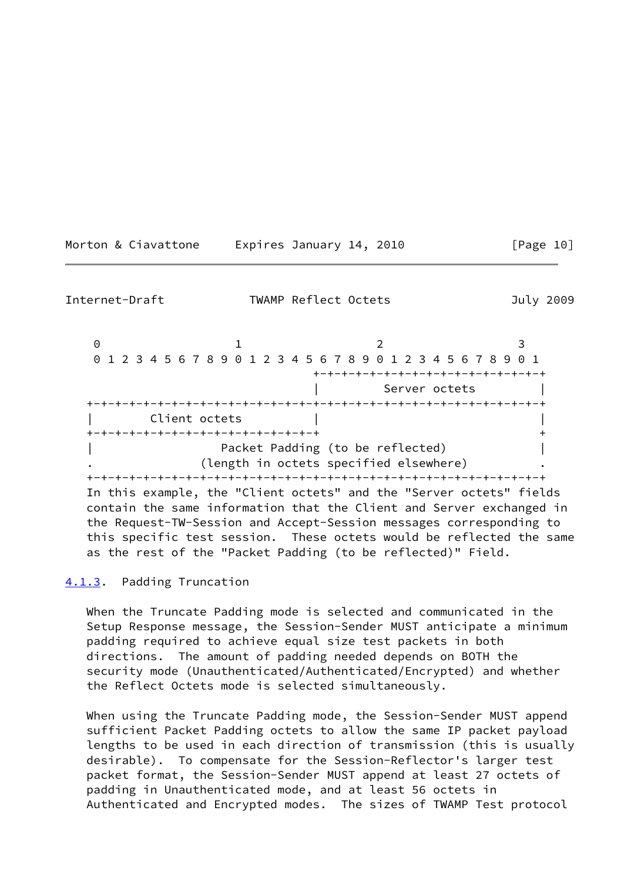<span id="page-11-1"></span>

| Internet-Draft                                                                                                                                                                                                                                                                                                                                                                                   | TWAMP Reflect Octets                                                       |                                        | July 2009 |
|--------------------------------------------------------------------------------------------------------------------------------------------------------------------------------------------------------------------------------------------------------------------------------------------------------------------------------------------------------------------------------------------------|----------------------------------------------------------------------------|----------------------------------------|-----------|
| $\Theta$<br>0 1 2 3 4 5 6 7 8 9 0 1 2 3 4 5 6 7 8 9 0 1 2 3 4 5 6 7 8 9 0 1<br>Client octets                                                                                                                                                                                                                                                                                                     |                                                                            | -+-+-+-+-+-+-+-+-+-+-<br>Server octets |           |
| -+-+-+-+-+-+-+-+-+-+-+-+-+-+-+-+-+<br>In this example, the "Client octets" and the "Server octets" fields<br>contain the same information that the Client and Server exchanged in<br>the Request-TW-Session and Accept-Session messages corresponding to<br>this specific test session. These octets would be reflected the same<br>as the rest of the "Packet Padding (to be reflected)" Field. | Packet Padding (to be reflected)<br>(length in octets specified elsewhere) |                                        |           |

Morton & Ciavattone Expires January 14, 2010 [Page 10]

<span id="page-11-0"></span>[4.1.3](#page-11-0). Padding Truncation

 When the Truncate Padding mode is selected and communicated in the Setup Response message, the Session-Sender MUST anticipate a minimum padding required to achieve equal size test packets in both directions. The amount of padding needed depends on BOTH the security mode (Unauthenticated/Authenticated/Encrypted) and whether the Reflect Octets mode is selected simultaneously.

 When using the Truncate Padding mode, the Session-Sender MUST append sufficient Packet Padding octets to allow the same IP packet payload lengths to be used in each direction of transmission (this is usually desirable). To compensate for the Session-Reflector's larger test packet format, the Session-Sender MUST append at least 27 octets of padding in Unauthenticated mode, and at least 56 octets in Authenticated and Encrypted modes. The sizes of TWAMP Test protocol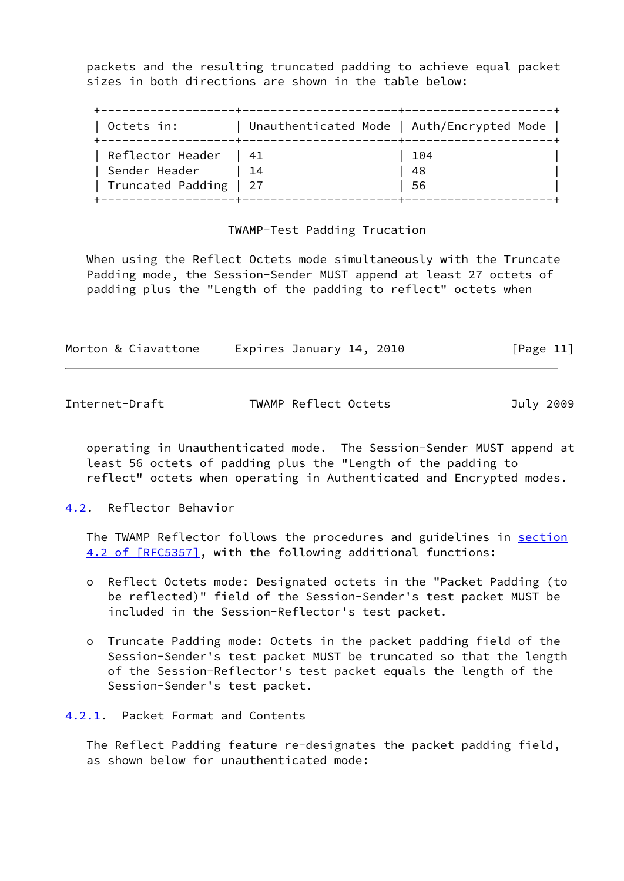packets and the resulting truncated padding to achieve equal packet sizes in both directions are shown in the table below:

| Octets in:                                                          | Unauthenticated Mode   Auth/Encrypted Mode |                 |
|---------------------------------------------------------------------|--------------------------------------------|-----------------|
| Reflector Header $ 41$<br>Sender Header<br>  Truncated Padding   27 | $\vert$ 14                                 | 104<br>48<br>56 |

### TWAMP-Test Padding Trucation

 When using the Reflect Octets mode simultaneously with the Truncate Padding mode, the Session-Sender MUST append at least 27 octets of padding plus the "Length of the padding to reflect" octets when

| Morton & Ciavattone | Expires January 14, 2010 | [Page 11] |
|---------------------|--------------------------|-----------|
|                     |                          |           |

<span id="page-12-1"></span>Internet-Draft TWAMP Reflect Octets July 2009

 operating in Unauthenticated mode. The Session-Sender MUST append at least 56 octets of padding plus the "Length of the padding to reflect" octets when operating in Authenticated and Encrypted modes.

<span id="page-12-0"></span>[4.2](#page-12-0). Reflector Behavior

 The TWAMP Reflector follows the procedures and guidelines in [section](https://datatracker.ietf.org/doc/pdf/rfc5357#section-4.2) [4.2 of \[RFC5357\]](https://datatracker.ietf.org/doc/pdf/rfc5357#section-4.2), with the following additional functions:

- o Reflect Octets mode: Designated octets in the "Packet Padding (to be reflected)" field of the Session-Sender's test packet MUST be included in the Session-Reflector's test packet.
- o Truncate Padding mode: Octets in the packet padding field of the Session-Sender's test packet MUST be truncated so that the length of the Session-Reflector's test packet equals the length of the Session-Sender's test packet.

<span id="page-12-2"></span>[4.2.1](#page-12-2). Packet Format and Contents

 The Reflect Padding feature re-designates the packet padding field, as shown below for unauthenticated mode: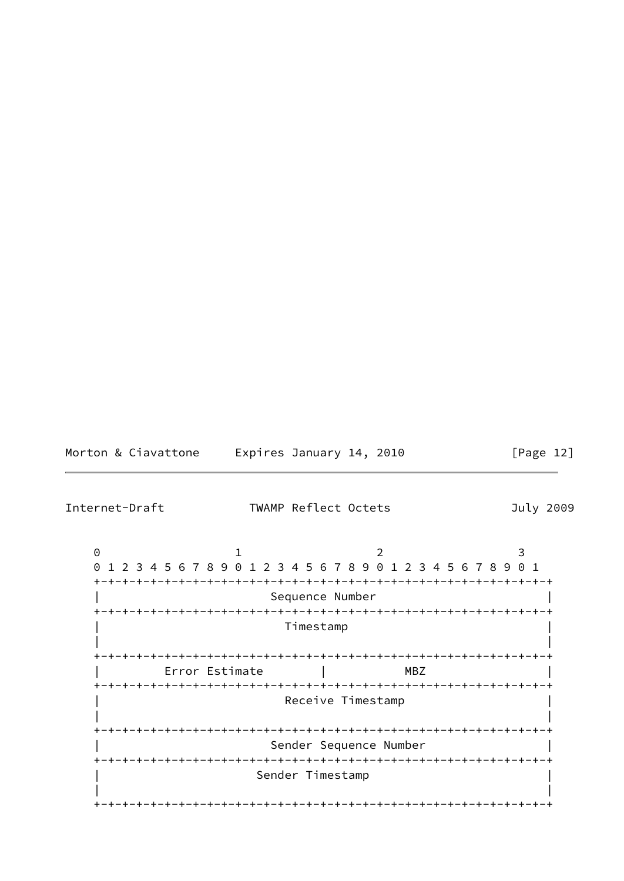| Morton & Ciavattone | Expires January 14, 2010 | [Page 12] |
|---------------------|--------------------------|-----------|
|---------------------|--------------------------|-----------|

<span id="page-13-0"></span>Internet-Draft TWAMP Reflect Octets July 2009 0 1 2 3 0 1 2 3 4 5 6 7 8 9 0 1 2 3 4 5 6 7 8 9 0 1 2 3 4 5 6 7 8 9 0 1 +-+-+-+-+-+-+-+-+-+-+-+-+-+-+-+-+-+-+-+-+-+-+-+-+-+-+-+-+-+-+-+-+ Sequence Number +-+-+-+-+-+-+-+-+-+-+-+-+-+-+-+-+-+-+-+-+-+-+-+-+-+-+-+-+-+-+-+-+ | Timestamp | | | +-+-+-+-+-+-+-+-+-+-+-+-+-+-+-+-+-+-+-+-+-+-+-+-+-+-+-+-+-+-+-+-+ | Error Estimate | MBZ | +-+-+-+-+-+-+-+-+-+-+-+-+-+-+-+-+-+-+-+-+-+-+-+-+-+-+-+-+-+-+-+-+ Receive Timestamp | | +-+-+-+-+-+-+-+-+-+-+-+-+-+-+-+-+-+-+-+-+-+-+-+-+-+-+-+-+-+-+-+-+ Sender Sequence Number +-+-+-+-+-+-+-+-+-+-+-+-+-+-+-+-+-+-+-+-+-+-+-+-+-+-+-+-+-+-+-+-+ Sender Timestamp | | +-+-+-+-+-+-+-+-+-+-+-+-+-+-+-+-+-+-+-+-+-+-+-+-+-+-+-+-+-+-+-+-+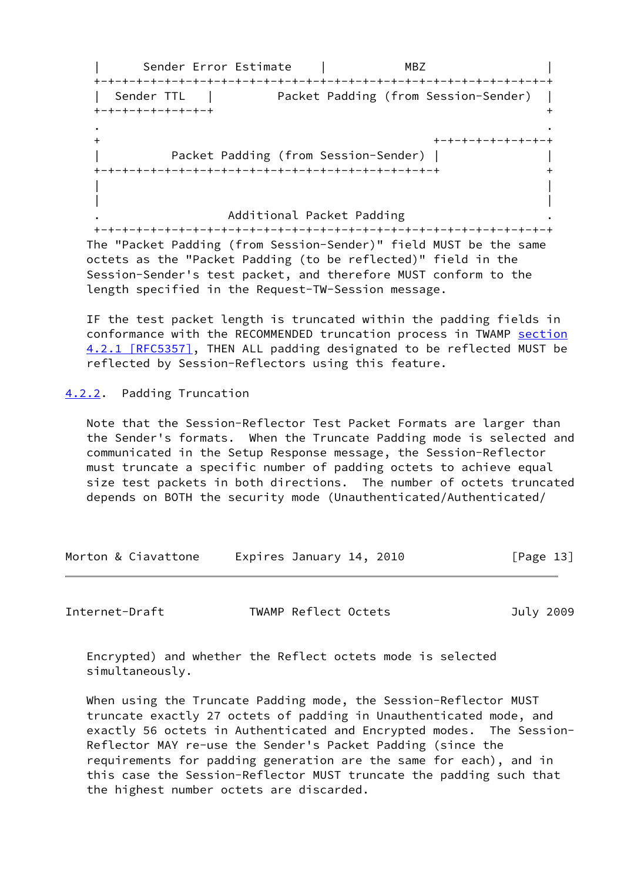| Sender Error Estimate | MBZ | +-+-+-+-+-+-+-+-+-+-+-+-+-+-+-+-+-+-+-+-+-+-+-+-+-+-+-+-+-+-+-+-+ | Sender TTL | Packet Padding (from Session-Sender) | +-+-+-+-+-+-+-+-+ + . . + +-+-+-+-+-+-+-+-+ | Packet Padding (from Session-Sender) | | +-+-+-+-+-+-+-+-+-+-+-+-+-+-+-+-+-+-+-+-+-+-+-+-+ + | | | | . Additional Packet Padding .

 +-+-+-+-+-+-+-+-+-+-+-+-+-+-+-+-+-+-+-+-+-+-+-+-+-+-+-+-+-+-+-+-+ The "Packet Padding (from Session-Sender)" field MUST be the same octets as the "Packet Padding (to be reflected)" field in the Session-Sender's test packet, and therefore MUST conform to the length specified in the Request-TW-Session message.

 IF the test packet length is truncated within the padding fields in conformance with the RECOMMENDED truncation process in TWAMP [section](https://datatracker.ietf.org/doc/pdf/rfc5357#section-4.2.1) [4.2.1 \[RFC5357\]](https://datatracker.ietf.org/doc/pdf/rfc5357#section-4.2.1), THEN ALL padding designated to be reflected MUST be reflected by Session-Reflectors using this feature.

<span id="page-14-0"></span>[4.2.2](#page-14-0). Padding Truncation

 Note that the Session-Reflector Test Packet Formats are larger than the Sender's formats. When the Truncate Padding mode is selected and communicated in the Setup Response message, the Session-Reflector must truncate a specific number of padding octets to achieve equal size test packets in both directions. The number of octets truncated depends on BOTH the security mode (Unauthenticated/Authenticated/

| Morton & Ciavattone | Expires January 14, 2010 | [Page 13] |
|---------------------|--------------------------|-----------|
|                     |                          |           |

<span id="page-14-1"></span>Internet-Draft TWAMP Reflect Octets July 2009

 Encrypted) and whether the Reflect octets mode is selected simultaneously.

 When using the Truncate Padding mode, the Session-Reflector MUST truncate exactly 27 octets of padding in Unauthenticated mode, and exactly 56 octets in Authenticated and Encrypted modes. The Session- Reflector MAY re-use the Sender's Packet Padding (since the requirements for padding generation are the same for each), and in this case the Session-Reflector MUST truncate the padding such that the highest number octets are discarded.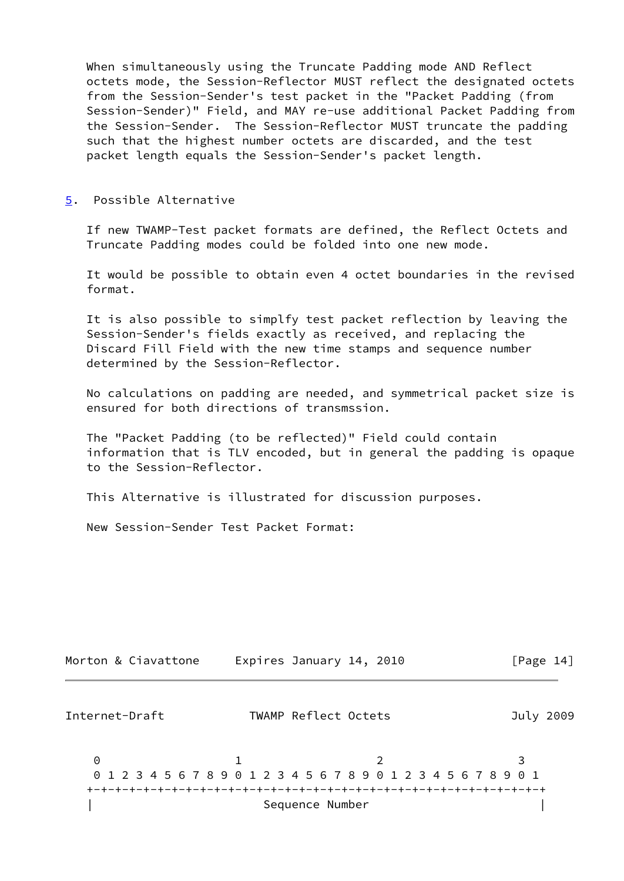When simultaneously using the Truncate Padding mode AND Reflect octets mode, the Session-Reflector MUST reflect the designated octets from the Session-Sender's test packet in the "Packet Padding (from Session-Sender)" Field, and MAY re-use additional Packet Padding from the Session-Sender. The Session-Reflector MUST truncate the padding such that the highest number octets are discarded, and the test packet length equals the Session-Sender's packet length.

<span id="page-15-0"></span>[5](#page-15-0). Possible Alternative

 If new TWAMP-Test packet formats are defined, the Reflect Octets and Truncate Padding modes could be folded into one new mode.

 It would be possible to obtain even 4 octet boundaries in the revised format.

 It is also possible to simplfy test packet reflection by leaving the Session-Sender's fields exactly as received, and replacing the Discard Fill Field with the new time stamps and sequence number determined by the Session-Reflector.

 No calculations on padding are needed, and symmetrical packet size is ensured for both directions of transmssion.

 The "Packet Padding (to be reflected)" Field could contain information that is TLV encoded, but in general the padding is opaque to the Session-Reflector.

This Alternative is illustrated for discussion purposes.

New Session-Sender Test Packet Format:

| Morton & Ciavattone                                                  |                      | Expires January 14, 2010 | [Page $14$ ] |
|----------------------------------------------------------------------|----------------------|--------------------------|--------------|
| Internet-Draft                                                       | TWAMP Reflect Octets |                          | July 2009    |
| 0<br>0 1 2 3 4 5 6 7 8 9 0 1 2 3 4 5 6 7 8 9 0 1 2 3 4 5 6 7 8 9 0 1 |                      |                          |              |
|                                                                      |                      |                          |              |
|                                                                      | Sequence Number      |                          |              |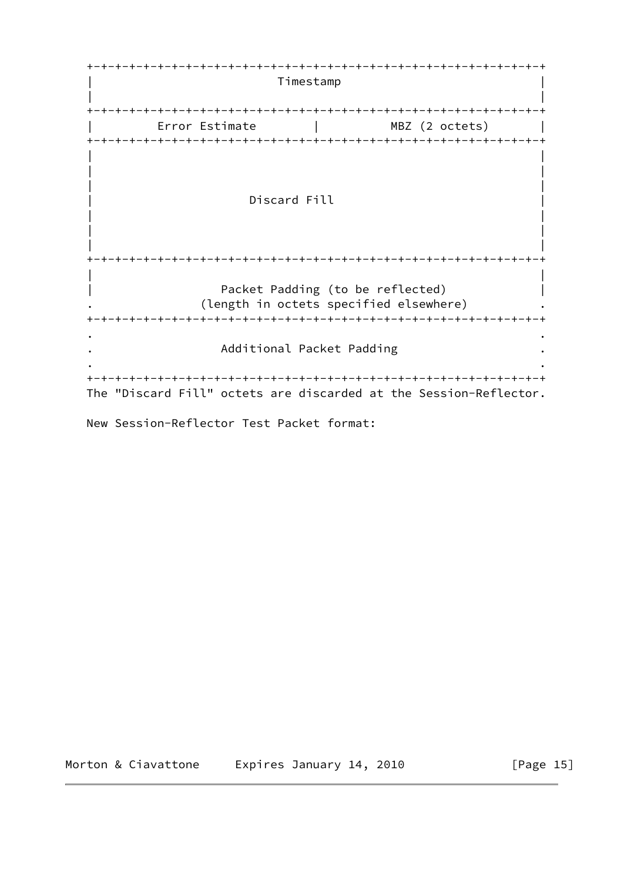+-+-+-+-+-+-+-+-+-+-+-+-+-+-+-+-+-+-+-+-+-+-+-+-+-+-+-+-+-+-+-+-+ | Timestamp | | | +-+-+-+-+-+-+-+-+-+-+-+-+-+-+-+-+-+-+-+-+-+-+-+-+-+-+-+-+-+-+-+-+ | Error Estimate | MBZ (2 octets) | +-+-+-+-+-+-+-+-+-+-+-+-+-+-+-+-+-+-+-+-+-+-+-+-+-+-+-+-+-+-+-+-+ | | | | | | Discard Fill | | | | | | +-+-+-+-+-+-+-+-+-+-+-+-+-+-+-+-+-+-+-+-+-+-+-+-+-+-+-+-+-+-+-+-+ | | Packet Padding (to be reflected) | (length in octets specified elsewhere) +-+-+-+-+-+-+-+-+-+-+-+-+-+-+-+-+-+-+-+-+-+-+-+-+-+-+-+-+-+-+-+-+ . . . Additional Packet Padding . . . +-+-+-+-+-+-+-+-+-+-+-+-+-+-+-+-+-+-+-+-+-+-+-+-+-+-+-+-+-+-+-+-+ The "Discard Fill" octets are discarded at the Session-Reflector.

New Session-Reflector Test Packet format:

Morton & Ciavattone Expires January 14, 2010 [Page 15]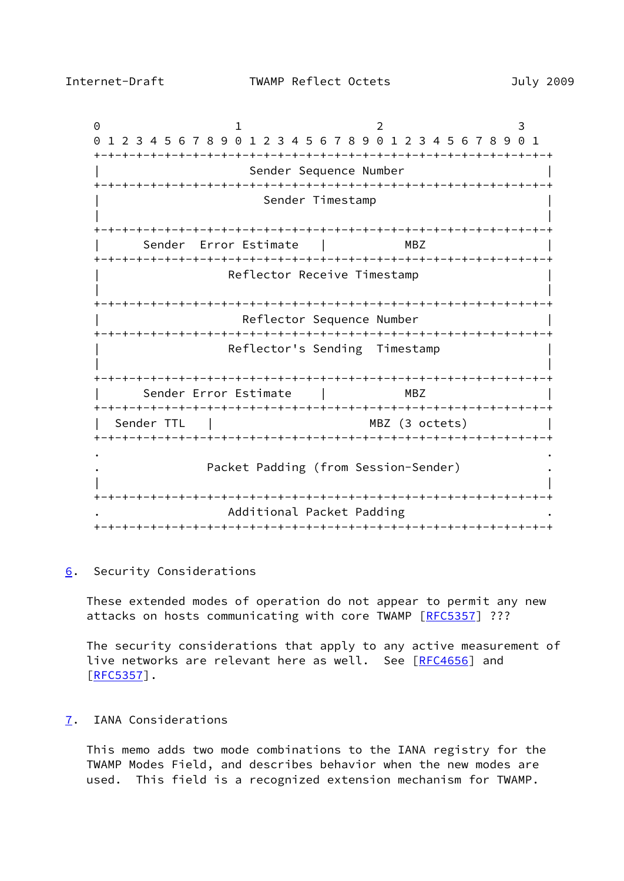<span id="page-17-1"></span>0 1 2 3 0 1 2 3 4 5 6 7 8 9 0 1 2 3 4 5 6 7 8 9 0 1 2 3 4 5 6 7 8 9 0 1 +-+-+-+-+-+-+-+-+-+-+-+-+-+-+-+-+-+-+-+-+-+-+-+-+-+-+-+-+-+-+-+-+ Sender Sequence Number +-+-+-+-+-+-+-+-+-+-+-+-+-+-+-+-+-+-+-+-+-+-+-+-+-+-+-+-+-+-+-+-+ Sender Timestamp | | +-+-+-+-+-+-+-+-+-+-+-+-+-+-+-+-+-+-+-+-+-+-+-+-+-+-+-+-+-+-+-+-+ | Sender Error Estimate | MBZ | +-+-+-+-+-+-+-+-+-+-+-+-+-+-+-+-+-+-+-+-+-+-+-+-+-+-+-+-+-+-+-+-+ Reflector Receive Timestamp | | +-+-+-+-+-+-+-+-+-+-+-+-+-+-+-+-+-+-+-+-+-+-+-+-+-+-+-+-+-+-+-+-+ Reflector Sequence Number +-+-+-+-+-+-+-+-+-+-+-+-+-+-+-+-+-+-+-+-+-+-+-+-+-+-+-+-+-+-+-+-+ Reflector's Sending Timestamp | | +-+-+-+-+-+-+-+-+-+-+-+-+-+-+-+-+-+-+-+-+-+-+-+-+-+-+-+-+-+-+-+-+ | Sender Error Estimate | MBZ | +-+-+-+-+-+-+-+-+-+-+-+-+-+-+-+-+-+-+-+-+-+-+-+-+-+-+-+-+-+-+-+-+ Sender TTL | NBZ (3 octets) +-+-+-+-+-+-+-+-+-+-+-+-+-+-+-+-+-+-+-+-+-+-+-+-+-+-+-+-+-+-+-+-+ . . Packet Padding (from Session-Sender) | | +-+-+-+-+-+-+-+-+-+-+-+-+-+-+-+-+-+-+-+-+-+-+-+-+-+-+-+-+-+-+-+-+ . Additional Packet Padding . +-+-+-+-+-+-+-+-+-+-+-+-+-+-+-+-+-+-+-+-+-+-+-+-+-+-+-+-+-+-+-+-+

<span id="page-17-0"></span>[6](#page-17-0). Security Considerations

 These extended modes of operation do not appear to permit any new attacks on hosts communicating with core TWAMP [\[RFC5357](https://datatracker.ietf.org/doc/pdf/rfc5357)] ???

 The security considerations that apply to any active measurement of live networks are relevant here as well. See [[RFC4656](https://datatracker.ietf.org/doc/pdf/rfc4656)] and  $[REC5357]$ .

<span id="page-17-2"></span>[7](#page-17-2). IANA Considerations

 This memo adds two mode combinations to the IANA registry for the TWAMP Modes Field, and describes behavior when the new modes are used. This field is a recognized extension mechanism for TWAMP.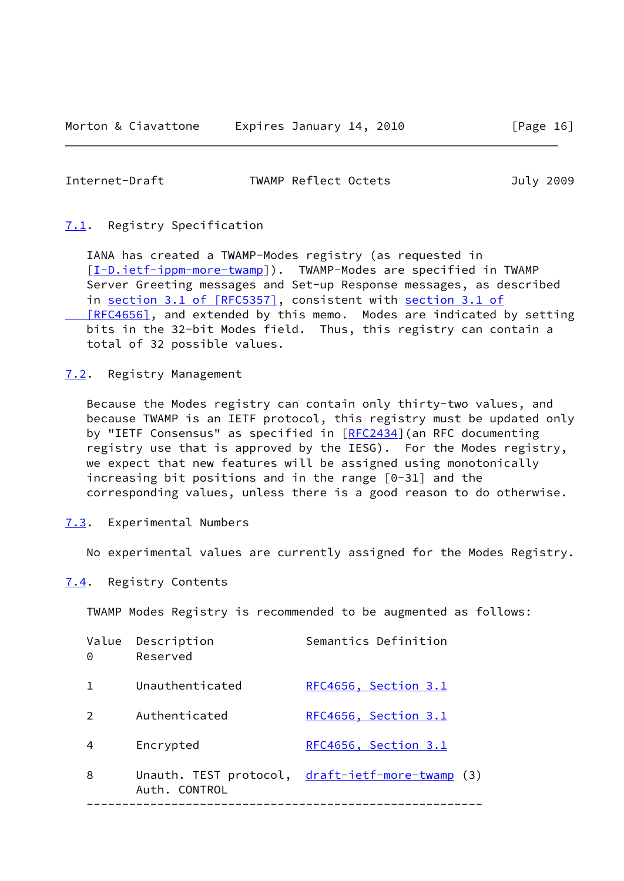<span id="page-18-1"></span>

| Internet-Draft | TWAMP Reflect Octets | July 2009 |  |
|----------------|----------------------|-----------|--|
|                |                      |           |  |

### <span id="page-18-0"></span>[7.1](#page-18-0). Registry Specification

 IANA has created a TWAMP-Modes registry (as requested in [\[I-D.ietf-ippm-more-twamp](#page-19-4)]). TWAMP-Modes are specified in TWAMP Server Greeting messages and Set-up Response messages, as described in section [3.1 of \[RFC5357\],](https://datatracker.ietf.org/doc/pdf/rfc5357#section-3.1) consistent with [section](https://datatracker.ietf.org/doc/pdf/rfc4656#section-3.1) 3.1 of [RFC4656], and extended by this memo. Modes are indicated by setting bits in the 32-bit Modes field. Thus, this registry can contain a total of 32 possible values.

<span id="page-18-2"></span>[7.2](#page-18-2). Registry Management

 Because the Modes registry can contain only thirty-two values, and because TWAMP is an IETF protocol, this registry must be updated only by "IETF Consensus" as specified in [\[RFC2434](https://datatracker.ietf.org/doc/pdf/rfc2434)] (an RFC documenting registry use that is approved by the IESG). For the Modes registry, we expect that new features will be assigned using monotonically increasing bit positions and in the range [0-31] and the corresponding values, unless there is a good reason to do otherwise.

<span id="page-18-3"></span>[7.3](#page-18-3). Experimental Numbers

No experimental values are currently assigned for the Modes Registry.

<span id="page-18-4"></span>[7.4](#page-18-4). Registry Contents

TWAMP Modes Registry is recommended to be augmented as follows:

| 0 | Value Description<br>Reserved | Semantics Definition                             |
|---|-------------------------------|--------------------------------------------------|
| 1 | Unauthenticated               | RFC4656, Section 3.1                             |
| 2 | Authenticated                 | RFC4656, Section 3.1                             |
| 4 | Encrypted                     | RFC4656, Section 3.1                             |
| 8 | Auth, CONTROL                 | Unauth. TEST protocol, draft-ietf-more-twamp (3) |
|   |                               |                                                  |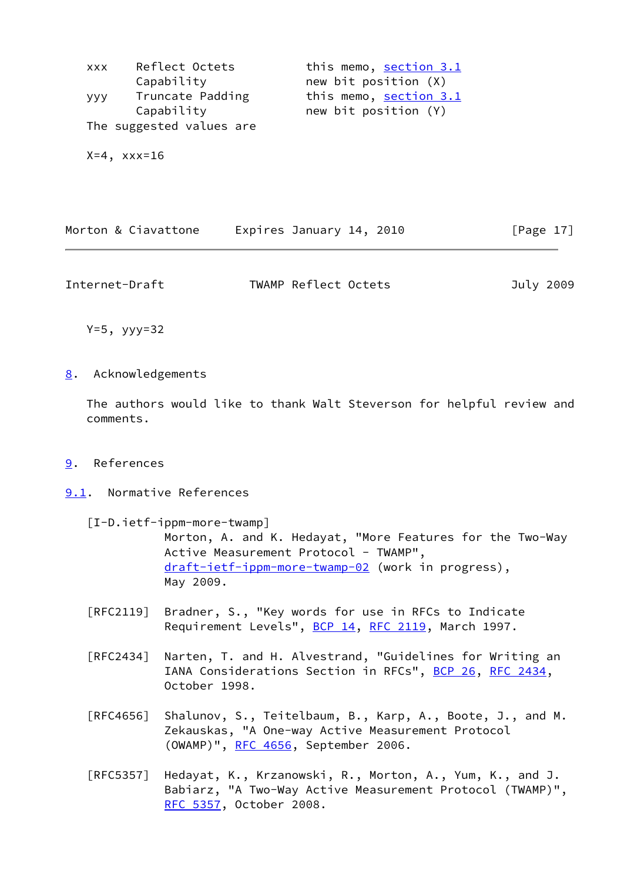| <b>XXX</b> | Reflect Octets           | this memo, section 3.1 |
|------------|--------------------------|------------------------|
|            | Capability               | new bit position (X)   |
| ууу        | Truncate Padding         | this memo, section 3.1 |
|            | Capability               | new bit position (Y)   |
|            | The suggested values are |                        |
|            |                          |                        |
|            | $X=4$ , $XX=16$          |                        |

|  |  | Morton & Ciavattone |  | Expires January 14, 2010 |  |  | [Page 17] |  |
|--|--|---------------------|--|--------------------------|--|--|-----------|--|
|--|--|---------------------|--|--------------------------|--|--|-----------|--|

<span id="page-19-1"></span>Internet-Draft TWAMP Reflect Octets July 2009

Y=5, yyy=32

# <span id="page-19-0"></span>[8](#page-19-0). Acknowledgements

 The authors would like to thank Walt Steverson for helpful review and comments.

## <span id="page-19-2"></span>[9](#page-19-2). References

## <span id="page-19-3"></span>[9.1](#page-19-3). Normative References

<span id="page-19-4"></span> [I-D.ietf-ippm-more-twamp] Morton, A. and K. Hedayat, "More Features for the Two-Way Active Measurement Protocol - TWAMP", [draft-ietf-ippm-more-twamp-02](https://datatracker.ietf.org/doc/pdf/draft-ietf-ippm-more-twamp-02) (work in progress), May 2009.

- [RFC2119] Bradner, S., "Key words for use in RFCs to Indicate Requirement Levels", [BCP 14](https://datatracker.ietf.org/doc/pdf/bcp14), [RFC 2119](https://datatracker.ietf.org/doc/pdf/rfc2119), March 1997.
- [RFC2434] Narten, T. and H. Alvestrand, "Guidelines for Writing an IANA Considerations Section in RFCs", [BCP 26](https://datatracker.ietf.org/doc/pdf/bcp26), [RFC 2434](https://datatracker.ietf.org/doc/pdf/rfc2434), October 1998.
- [RFC4656] Shalunov, S., Teitelbaum, B., Karp, A., Boote, J., and M. Zekauskas, "A One-way Active Measurement Protocol (OWAMP)", [RFC 4656](https://datatracker.ietf.org/doc/pdf/rfc4656), September 2006.
- [RFC5357] Hedayat, K., Krzanowski, R., Morton, A., Yum, K., and J. Babiarz, "A Two-Way Active Measurement Protocol (TWAMP)", [RFC 5357,](https://datatracker.ietf.org/doc/pdf/rfc5357) October 2008.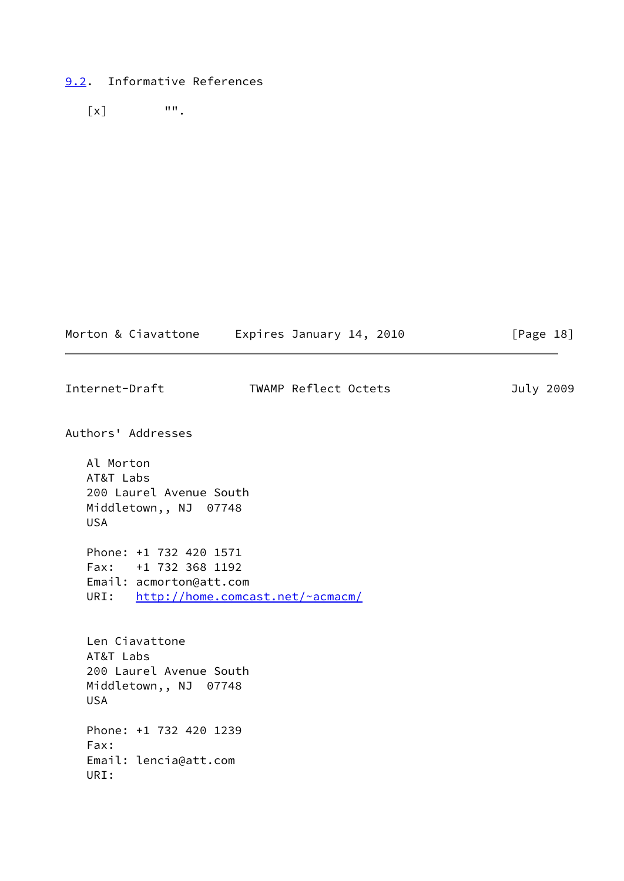# <span id="page-20-0"></span>[9.2](#page-20-0). Informative References

 $\begin{bmatrix} x \end{bmatrix}$  "".

|                                                                                               | Morton & Ciavattone Expires January 14, 2010 | [Page $18$ ] |
|-----------------------------------------------------------------------------------------------|----------------------------------------------|--------------|
| Internet-Draft                                                                                | TWAMP Reflect Octets                         | July 2009    |
| Authors' Addresses                                                                            |                                              |              |
| Al Morton<br>AT&T Labs<br>200 Laurel Avenue South<br>Middletown,, NJ 07748<br><b>USA</b>      |                                              |              |
| Phone: +1 732 420 1571<br>Fax: +1 732 368 1192<br>Email: acmorton@att.com<br>URI:             | http://home.comcast.net/~acmacm/             |              |
| Len Ciavattone<br>AT&T Labs<br>200 Laurel Avenue South<br>Middletown,, NJ 07748<br><b>USA</b> |                                              |              |
| Phone: +1 732 420 1239<br>Fax:<br>Email: lencia@att.com<br>URI:                               |                                              |              |